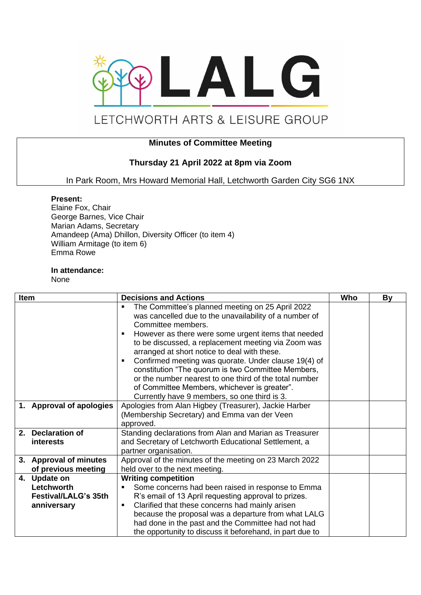

# LETCHWORTH ARTS & LEISURE GROUP

## **Minutes of Committee Meeting**

## **Thursday 21 April 2022 at 8pm via Zoom**

In Park Room, Mrs Howard Memorial Hall, Letchworth Garden City SG6 1NX

#### **Present:**

Elaine Fox, Chair George Barnes, Vice Chair Marian Adams, Secretary Amandeep (Ama) Dhillon, Diversity Officer (to item 4) William Armitage (to item 6) Emma Rowe

### **In attendance:**

None

| <b>Item</b> |                                                                          | <b>Decisions and Actions</b>                                                                                                                                                                                                                                                                                                                                                                                                                                                                                                                                           | Who | By |
|-------------|--------------------------------------------------------------------------|------------------------------------------------------------------------------------------------------------------------------------------------------------------------------------------------------------------------------------------------------------------------------------------------------------------------------------------------------------------------------------------------------------------------------------------------------------------------------------------------------------------------------------------------------------------------|-----|----|
|             |                                                                          | The Committee's planned meeting on 25 April 2022<br>was cancelled due to the unavailability of a number of<br>Committee members.<br>However as there were some urgent items that needed<br>to be discussed, a replacement meeting via Zoom was<br>arranged at short notice to deal with these.<br>Confirmed meeting was quorate. Under clause 19(4) of<br>constitution "The quorum is two Committee Members,<br>or the number nearest to one third of the total number<br>of Committee Members, whichever is greater".<br>Currently have 9 members, so one third is 3. |     |    |
|             | 1. Approval of apologies                                                 | Apologies from Alan Higbey (Treasurer), Jackie Harber<br>(Membership Secretary) and Emma van der Veen<br>approved.                                                                                                                                                                                                                                                                                                                                                                                                                                                     |     |    |
|             | 2. Declaration of<br><b>interests</b>                                    | Standing declarations from Alan and Marian as Treasurer<br>and Secretary of Letchworth Educational Settlement, a<br>partner organisation.                                                                                                                                                                                                                                                                                                                                                                                                                              |     |    |
|             | 3. Approval of minutes<br>of previous meeting                            | Approval of the minutes of the meeting on 23 March 2022<br>held over to the next meeting.                                                                                                                                                                                                                                                                                                                                                                                                                                                                              |     |    |
|             | 4. Update on<br>Letchworth<br><b>Festival/LALG's 35th</b><br>anniversary | <b>Writing competition</b><br>Some concerns had been raised in response to Emma<br>R's email of 13 April requesting approval to prizes.<br>Clarified that these concerns had mainly arisen<br>because the proposal was a departure from what LALG<br>had done in the past and the Committee had not had<br>the opportunity to discuss it beforehand, in part due to                                                                                                                                                                                                    |     |    |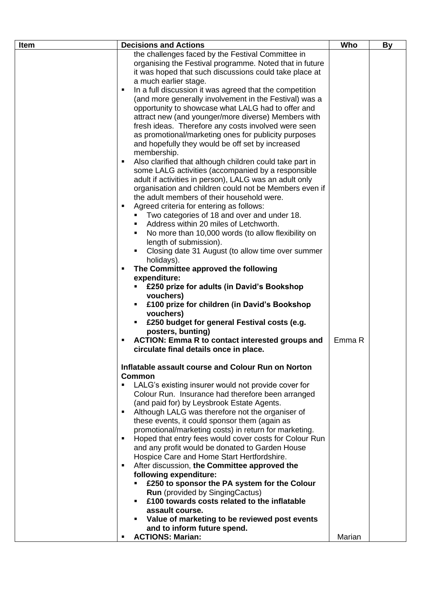| Item | <b>Decisions and Actions</b>                                                                                                                                                                                                                                                                                                                                                                                                                                                                                                                                                                                                                                                                                                                                                                                                                                                                                                                                                                                                                                                                                                                                                                                                                                                                                                                                                                                                                                                                                                                                                                                                                                                                                                                                                                                                                                                                                                                                                                     | Who    | <b>By</b> |
|------|--------------------------------------------------------------------------------------------------------------------------------------------------------------------------------------------------------------------------------------------------------------------------------------------------------------------------------------------------------------------------------------------------------------------------------------------------------------------------------------------------------------------------------------------------------------------------------------------------------------------------------------------------------------------------------------------------------------------------------------------------------------------------------------------------------------------------------------------------------------------------------------------------------------------------------------------------------------------------------------------------------------------------------------------------------------------------------------------------------------------------------------------------------------------------------------------------------------------------------------------------------------------------------------------------------------------------------------------------------------------------------------------------------------------------------------------------------------------------------------------------------------------------------------------------------------------------------------------------------------------------------------------------------------------------------------------------------------------------------------------------------------------------------------------------------------------------------------------------------------------------------------------------------------------------------------------------------------------------------------------------|--------|-----------|
|      | the challenges faced by the Festival Committee in<br>organising the Festival programme. Noted that in future<br>it was hoped that such discussions could take place at<br>a much earlier stage.<br>In a full discussion it was agreed that the competition<br>п<br>(and more generally involvement in the Festival) was a<br>opportunity to showcase what LALG had to offer and<br>attract new (and younger/more diverse) Members with<br>fresh ideas. Therefore any costs involved were seen<br>as promotional/marketing ones for publicity purposes<br>and hopefully they would be off set by increased<br>membership.<br>Also clarified that although children could take part in<br>٠<br>some LALG activities (accompanied by a responsible<br>adult if activities in person), LALG was an adult only<br>organisation and children could not be Members even if<br>the adult members of their household were.<br>Agreed criteria for entering as follows:<br>$\blacksquare$<br>Two categories of 18 and over and under 18.<br>Address within 20 miles of Letchworth.<br>No more than 10,000 words (to allow flexibility on<br>length of submission).<br>Closing date 31 August (to allow time over summer<br>holidays).<br>The Committee approved the following<br>٠<br>expenditure:<br>£250 prize for adults (in David's Bookshop<br>vouchers)<br>£100 prize for children (in David's Bookshop<br>٠<br>vouchers)<br>£250 budget for general Festival costs (e.g.<br>posters, bunting)<br>ACTION: Emma R to contact interested groups and<br>٠<br>circulate final details once in place.<br>Inflatable assault course and Colour Run on Norton<br><b>Common</b><br>LALG's existing insurer would not provide cover for<br>Colour Run. Insurance had therefore been arranged<br>(and paid for) by Leysbrook Estate Agents.<br>Although LALG was therefore not the organiser of<br>٠<br>these events, it could sponsor them (again as<br>promotional/marketing costs) in return for marketing. | Emma R |           |
|      | Hoped that entry fees would cover costs for Colour Run<br>$\blacksquare$<br>and any profit would be donated to Garden House                                                                                                                                                                                                                                                                                                                                                                                                                                                                                                                                                                                                                                                                                                                                                                                                                                                                                                                                                                                                                                                                                                                                                                                                                                                                                                                                                                                                                                                                                                                                                                                                                                                                                                                                                                                                                                                                      |        |           |
|      | Hospice Care and Home Start Hertfordshire.<br>After discussion, the Committee approved the<br>$\blacksquare$<br>following expenditure:                                                                                                                                                                                                                                                                                                                                                                                                                                                                                                                                                                                                                                                                                                                                                                                                                                                                                                                                                                                                                                                                                                                                                                                                                                                                                                                                                                                                                                                                                                                                                                                                                                                                                                                                                                                                                                                           |        |           |
|      | £250 to sponsor the PA system for the Colour<br><b>Run</b> (provided by SingingCactus)<br>£100 towards costs related to the inflatable<br>assault course.                                                                                                                                                                                                                                                                                                                                                                                                                                                                                                                                                                                                                                                                                                                                                                                                                                                                                                                                                                                                                                                                                                                                                                                                                                                                                                                                                                                                                                                                                                                                                                                                                                                                                                                                                                                                                                        |        |           |
|      | Value of marketing to be reviewed post events<br>and to inform future spend.<br><b>ACTIONS: Marian:</b><br>٠                                                                                                                                                                                                                                                                                                                                                                                                                                                                                                                                                                                                                                                                                                                                                                                                                                                                                                                                                                                                                                                                                                                                                                                                                                                                                                                                                                                                                                                                                                                                                                                                                                                                                                                                                                                                                                                                                     | Marian |           |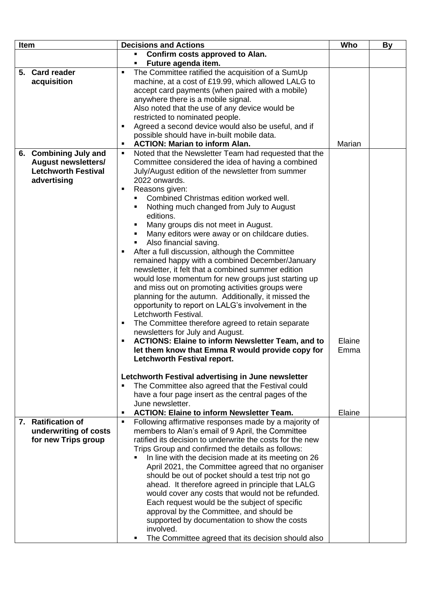| Item                                                                                             | <b>Decisions and Actions</b>                                                                                                                                                                                                                                                                                                                                                                                                                                                                                                                                                                                                                                                                                                                                                                                                                                                                                                                                                                                                                                                           | Who            | By |
|--------------------------------------------------------------------------------------------------|----------------------------------------------------------------------------------------------------------------------------------------------------------------------------------------------------------------------------------------------------------------------------------------------------------------------------------------------------------------------------------------------------------------------------------------------------------------------------------------------------------------------------------------------------------------------------------------------------------------------------------------------------------------------------------------------------------------------------------------------------------------------------------------------------------------------------------------------------------------------------------------------------------------------------------------------------------------------------------------------------------------------------------------------------------------------------------------|----------------|----|
|                                                                                                  | Confirm costs approved to Alan.<br>٠<br>Future agenda item.<br>٠                                                                                                                                                                                                                                                                                                                                                                                                                                                                                                                                                                                                                                                                                                                                                                                                                                                                                                                                                                                                                       |                |    |
| 5. Card reader<br>acquisition                                                                    | The Committee ratified the acquisition of a SumUp<br>$\blacksquare$<br>machine, at a cost of £19.99, which allowed LALG to<br>accept card payments (when paired with a mobile)<br>anywhere there is a mobile signal.<br>Also noted that the use of any device would be<br>restricted to nominated people.<br>Agreed a second device would also be useful, and if<br>٠<br>possible should have in-built mobile data.<br><b>ACTION: Marian to inform Alan.</b>                                                                                                                                                                                                                                                                                                                                                                                                                                                                                                                                                                                                                           | Marian         |    |
| 6. Combining July and<br><b>August newsletters/</b><br><b>Letchworth Festival</b><br>advertising | Noted that the Newsletter Team had requested that the<br>٠<br>Committee considered the idea of having a combined<br>July/August edition of the newsletter from summer<br>2022 onwards.<br>Reasons given:<br>$\blacksquare$<br>Combined Christmas edition worked well.<br>Nothing much changed from July to August<br>٠<br>editions.<br>Many groups dis not meet in August.<br>Many editors were away or on childcare duties.<br>Also financial saving.<br>٠<br>After a full discussion, although the Committee<br>п<br>remained happy with a combined December/January<br>newsletter, it felt that a combined summer edition<br>would lose momentum for new groups just starting up<br>and miss out on promoting activities groups were<br>planning for the autumn. Additionally, it missed the<br>opportunity to report on LALG's involvement in the<br>Letchworth Festival.<br>The Committee therefore agreed to retain separate<br>newsletters for July and August.<br><b>ACTIONS: Elaine to inform Newsletter Team, and to</b><br>let them know that Emma R would provide copy for | Elaine<br>Emma |    |
| 7. Ratification of<br>underwriting of costs<br>for new Trips group                               | <b>Letchworth Festival report.</b><br>Letchworth Festival advertising in June newsletter<br>The Committee also agreed that the Festival could<br>have a four page insert as the central pages of the<br>June newsletter.<br><b>ACTION: Elaine to inform Newsletter Team.</b><br>٠<br>Following affirmative responses made by a majority of<br>٠<br>members to Alan's email of 9 April, the Committee<br>ratified its decision to underwrite the costs for the new<br>Trips Group and confirmed the details as follows:<br>In line with the decision made at its meeting on 26<br>April 2021, the Committee agreed that no organiser<br>should be out of pocket should a test trip not go<br>ahead. It therefore agreed in principle that LALG<br>would cover any costs that would not be refunded.<br>Each request would be the subject of specific<br>approval by the Committee, and should be<br>supported by documentation to show the costs                                                                                                                                        | Elaine         |    |
|                                                                                                  | involved.<br>The Committee agreed that its decision should also                                                                                                                                                                                                                                                                                                                                                                                                                                                                                                                                                                                                                                                                                                                                                                                                                                                                                                                                                                                                                        |                |    |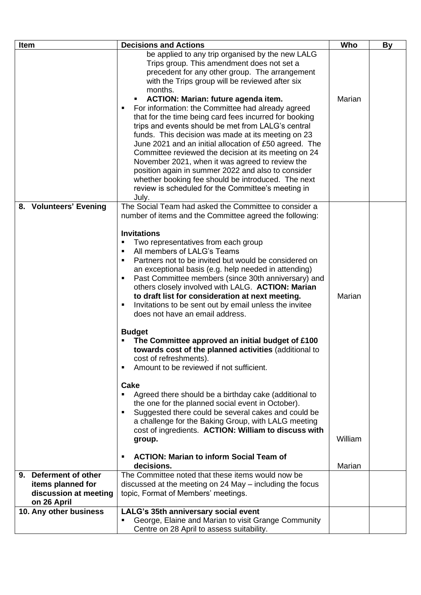| Item |                                      | <b>Decisions and Actions</b>                                                                                                                                                                                                                                                                                                                                                                                                                                                                                                                                                                                                                                                                                                                                                                                                                                                                                                                                                                                                                                                                                                | Who               | By |
|------|--------------------------------------|-----------------------------------------------------------------------------------------------------------------------------------------------------------------------------------------------------------------------------------------------------------------------------------------------------------------------------------------------------------------------------------------------------------------------------------------------------------------------------------------------------------------------------------------------------------------------------------------------------------------------------------------------------------------------------------------------------------------------------------------------------------------------------------------------------------------------------------------------------------------------------------------------------------------------------------------------------------------------------------------------------------------------------------------------------------------------------------------------------------------------------|-------------------|----|
|      |                                      | be applied to any trip organised by the new LALG<br>Trips group. This amendment does not set a<br>precedent for any other group. The arrangement<br>with the Trips group will be reviewed after six<br>months.<br>ACTION: Marian: future agenda item.<br>For information: the Committee had already agreed<br>п<br>that for the time being card fees incurred for booking<br>trips and events should be met from LALG's central<br>funds. This decision was made at its meeting on 23<br>June 2021 and an initial allocation of £50 agreed. The<br>Committee reviewed the decision at its meeting on 24<br>November 2021, when it was agreed to review the<br>position again in summer 2022 and also to consider<br>whether booking fee should be introduced. The next<br>review is scheduled for the Committee's meeting in<br>July.                                                                                                                                                                                                                                                                                       | Marian            |    |
|      | 8. Volunteers' Evening               | The Social Team had asked the Committee to consider a<br>number of items and the Committee agreed the following:<br><b>Invitations</b><br>Two representatives from each group<br>٠<br>All members of LALG's Teams<br>Partners not to be invited but would be considered on<br>an exceptional basis (e.g. help needed in attending)<br>Past Committee members (since 30th anniversary) and<br>others closely involved with LALG. ACTION: Marian<br>to draft list for consideration at next meeting.<br>Invitations to be sent out by email unless the invitee<br>does not have an email address.<br><b>Budget</b><br>The Committee approved an initial budget of £100<br>towards cost of the planned activities (additional to<br>cost of refreshments).<br>Amount to be reviewed if not sufficient.<br>$\blacksquare$<br>Cake<br>Agreed there should be a birthday cake (additional to<br>the one for the planned social event in October).<br>Suggested there could be several cakes and could be<br>a challenge for the Baking Group, with LALG meeting<br>cost of ingredients. ACTION: William to discuss with<br>group. | Marian<br>William |    |
|      |                                      | <b>ACTION: Marian to inform Social Team of</b><br>п<br>decisions.                                                                                                                                                                                                                                                                                                                                                                                                                                                                                                                                                                                                                                                                                                                                                                                                                                                                                                                                                                                                                                                           | Marian            |    |
|      | 9. Deferment of other                | The Committee noted that these items would now be                                                                                                                                                                                                                                                                                                                                                                                                                                                                                                                                                                                                                                                                                                                                                                                                                                                                                                                                                                                                                                                                           |                   |    |
|      | items planned for                    | discussed at the meeting on 24 May – including the focus                                                                                                                                                                                                                                                                                                                                                                                                                                                                                                                                                                                                                                                                                                                                                                                                                                                                                                                                                                                                                                                                    |                   |    |
|      | discussion at meeting<br>on 26 April | topic, Format of Members' meetings.                                                                                                                                                                                                                                                                                                                                                                                                                                                                                                                                                                                                                                                                                                                                                                                                                                                                                                                                                                                                                                                                                         |                   |    |
|      | 10. Any other business               | LALG's 35th anniversary social event                                                                                                                                                                                                                                                                                                                                                                                                                                                                                                                                                                                                                                                                                                                                                                                                                                                                                                                                                                                                                                                                                        |                   |    |
|      |                                      | George, Elaine and Marian to visit Grange Community<br>$\blacksquare$                                                                                                                                                                                                                                                                                                                                                                                                                                                                                                                                                                                                                                                                                                                                                                                                                                                                                                                                                                                                                                                       |                   |    |
|      |                                      | Centre on 28 April to assess suitability.                                                                                                                                                                                                                                                                                                                                                                                                                                                                                                                                                                                                                                                                                                                                                                                                                                                                                                                                                                                                                                                                                   |                   |    |